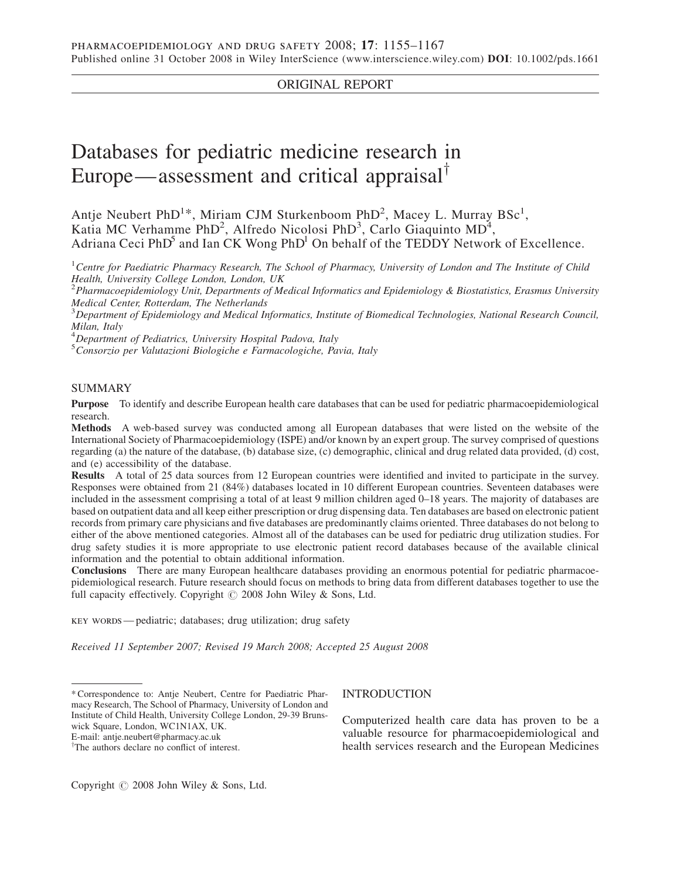# ORIGINAL REPORT

# Databases for pediatric medicine research in Europe—assessment and critical appraisal<sup>†</sup>

Antje Neubert PhD<sup>1\*</sup>, Miriam CJM Sturkenboom PhD<sup>2</sup>, Macey L. Murray BSc<sup>1</sup>, Katia MC Verhamme PhD<sup>2</sup>, Alfredo Nicolosi PhD<sup>3</sup>, Carlo Giaquinto MD<sup>4</sup>, Adriana Ceci  $PhD<sup>5</sup>$  and Ian CK Wong  $PhD<sup>1</sup>$  On behalf of the TEDDY Network of Excellence.

<sup>1</sup> Centre for Paediatric Pharmacy Research, The School of Pharmacy, University of London and The Institute of Child Health, University College London, London, UK

 $^2$ Pharmacoepidemiology Unit, Departments of Medical Informatics and Epidemiology & Biostatistics, Erasmus University Medical Center, Rotterdam, The Netherlands

 $^3$ Department of Epidemiology and Medical Informatics, Institute of Biomedical Technologies, National Research Council, Milan, Italy

<sup>4</sup>Department of Pediatrics, University Hospital Padova, Italy

5 Consorzio per Valutazioni Biologiche e Farmacologiche, Pavia, Italy

# SUMMARY

Purpose To identify and describe European health care databases that can be used for pediatric pharmacoepidemiological research.

Methods A web-based survey was conducted among all European databases that were listed on the website of the International Society of Pharmacoepidemiology (ISPE) and/or known by an expert group. The survey comprised of questions regarding (a) the nature of the database, (b) database size, (c) demographic, clinical and drug related data provided, (d) cost, and (e) accessibility of the database.

Results A total of 25 data sources from 12 European countries were identified and invited to participate in the survey. Responses were obtained from 21 (84%) databases located in 10 different European countries. Seventeen databases were included in the assessment comprising a total of at least 9 million children aged 0–18 years. The majority of databases are based on outpatient data and all keep either prescription or drug dispensing data. Ten databases are based on electronic patient records from primary care physicians and five databases are predominantly claims oriented. Three databases do not belong to either of the above mentioned categories. Almost all of the databases can be used for pediatric drug utilization studies. For drug safety studies it is more appropriate to use electronic patient record databases because of the available clinical information and the potential to obtain additional information.

Conclusions There are many European healthcare databases providing an enormous potential for pediatric pharmacoepidemiological research. Future research should focus on methods to bring data from different databases together to use the full capacity effectively. Copyright  $\odot$  2008 John Wiley & Sons, Ltd.

key words — pediatric; databases; drug utilization; drug safety

Received 11 September 2007; Revised 19 March 2008; Accepted 25 August 2008

E-mail: antje.neubert@pharmacy.ac.uk

# INTRODUCTION

Computerized health care data has proven to be a valuable resource for pharmacoepidemiological and health services research and the European Medicines

<sup>\*</sup> Correspondence to: Antje Neubert, Centre for Paediatric Pharmacy Research, The School of Pharmacy, University of London and Institute of Child Health, University College London, 29-39 Brunswick Square, London, WC1N1AX, UK.

<sup>&</sup>lt;sup>†</sup>The authors declare no conflict of interest.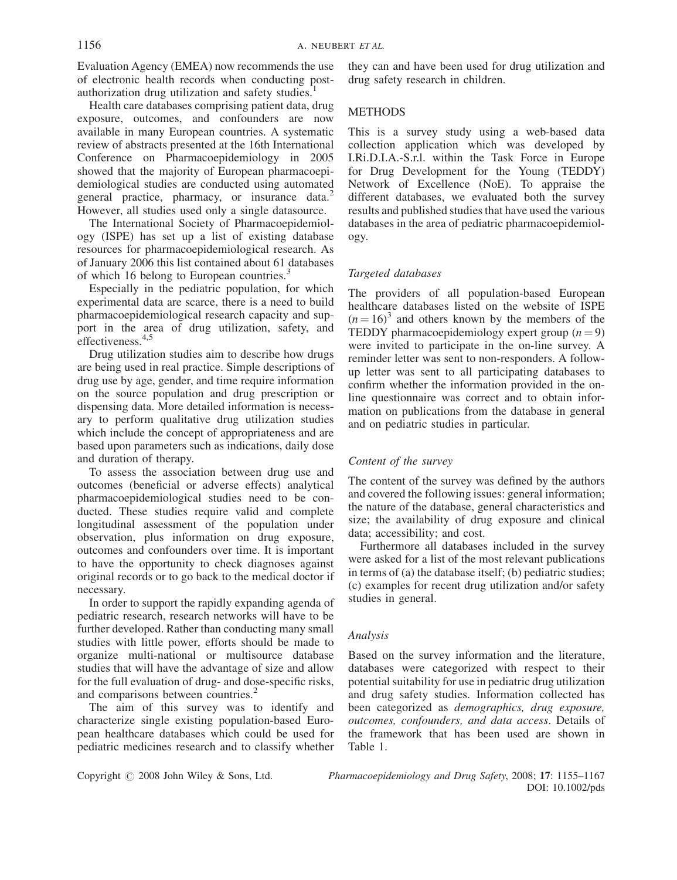Evaluation Agency (EMEA) now recommends the use of electronic health records when conducting postauthorization drug utilization and safety studies.<sup>1</sup>

Health care databases comprising patient data, drug exposure, outcomes, and confounders are now available in many European countries. A systematic review of abstracts presented at the 16th International Conference on Pharmacoepidemiology in 2005 showed that the majority of European pharmacoepidemiological studies are conducted using automated general practice, pharmacy, or insurance data.<sup>2</sup> However, all studies used only a single datasource.

The International Society of Pharmacoepidemiology (ISPE) has set up a list of existing database resources for pharmacoepidemiological research. As of January 2006 this list contained about 61 databases of which 16 belong to European countries.<sup>3</sup>

Especially in the pediatric population, for which experimental data are scarce, there is a need to build pharmacoepidemiological research capacity and support in the area of drug utilization, safety, and effectiveness. $4,5$ 

Drug utilization studies aim to describe how drugs are being used in real practice. Simple descriptions of drug use by age, gender, and time require information on the source population and drug prescription or dispensing data. More detailed information is necessary to perform qualitative drug utilization studies which include the concept of appropriateness and are based upon parameters such as indications, daily dose and duration of therapy.

To assess the association between drug use and outcomes (beneficial or adverse effects) analytical pharmacoepidemiological studies need to be conducted. These studies require valid and complete longitudinal assessment of the population under observation, plus information on drug exposure, outcomes and confounders over time. It is important to have the opportunity to check diagnoses against original records or to go back to the medical doctor if necessary.

In order to support the rapidly expanding agenda of pediatric research, research networks will have to be further developed. Rather than conducting many small studies with little power, efforts should be made to organize multi-national or multisource database studies that will have the advantage of size and allow for the full evaluation of drug- and dose-specific risks, and comparisons between countries.<sup>2</sup>

The aim of this survey was to identify and characterize single existing population-based European healthcare databases which could be used for pediatric medicines research and to classify whether they can and have been used for drug utilization and drug safety research in children.

#### METHODS

This is a survey study using a web-based data collection application which was developed by I.Ri.D.I.A.-S.r.l. within the Task Force in Europe for Drug Development for the Young (TEDDY) Network of Excellence (NoE). To appraise the different databases, we evaluated both the survey results and published studies that have used the various databases in the area of pediatric pharmacoepidemiology.

## Targeted databases

The providers of all population-based European healthcare databases listed on the website of ISPE  $(n = 16)^3$  and others known by the members of the TEDDY pharmacoepidemiology expert group  $(n = 9)$ were invited to participate in the on-line survey. A reminder letter was sent to non-responders. A followup letter was sent to all participating databases to confirm whether the information provided in the online questionnaire was correct and to obtain information on publications from the database in general and on pediatric studies in particular.

#### Content of the survey

The content of the survey was defined by the authors and covered the following issues: general information; the nature of the database, general characteristics and size; the availability of drug exposure and clinical data; accessibility; and cost.

Furthermore all databases included in the survey were asked for a list of the most relevant publications in terms of (a) the database itself; (b) pediatric studies; (c) examples for recent drug utilization and/or safety studies in general.

#### Analysis

Based on the survey information and the literature, databases were categorized with respect to their potential suitability for use in pediatric drug utilization and drug safety studies. Information collected has been categorized as demographics, drug exposure, outcomes, confounders, and data access. Details of the framework that has been used are shown in Table 1.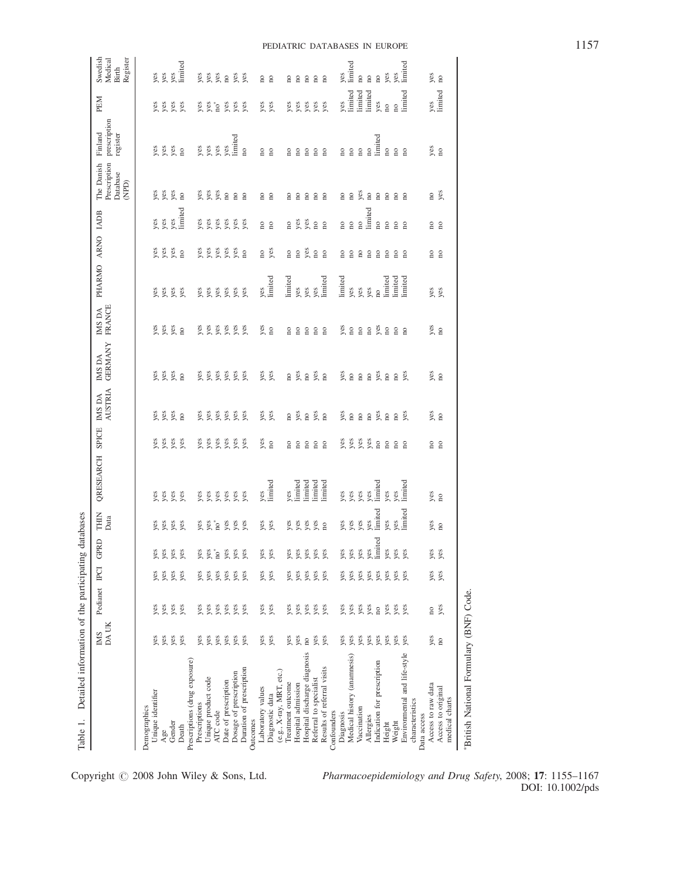| Detailed information of the participating databases<br>Table 1. |                          |                          |            |                           |                                     |           |                          |                          |                          |                         |                  |                          |                         |                                                 |                                     |                          |                                                |
|-----------------------------------------------------------------|--------------------------|--------------------------|------------|---------------------------|-------------------------------------|-----------|--------------------------|--------------------------|--------------------------|-------------------------|------------------|--------------------------|-------------------------|-------------------------------------------------|-------------------------------------|--------------------------|------------------------------------------------|
|                                                                 | IMS<br>DA UK             | Pedianet                 | <b>PCI</b> | GPRD                      | <b>THIN</b><br>Data                 | QRESEARCH | SPICE                    | <b>AUSTRIA</b><br>IMS DA | <b>GERMANY</b><br>IMS DA | FRANCE<br>IMS DA        | PHARMO ARNO IADB |                          |                         | Prescription<br>The Danish<br>Database<br>(NPD) | prescription<br>Finland<br>register | PEM                      | Swedish<br>Register<br>Medical<br><b>Birth</b> |
| Demographics                                                    |                          |                          |            |                           |                                     |           |                          |                          |                          |                         |                  |                          |                         |                                                 |                                     |                          |                                                |
| Unique identifier                                               | yes                      | yes                      | yes        | yes                       | yes                                 | yes       | yes                      | yes                      | /es                      | yes                     | yes              | yes                      | yes                     | yes                                             | yes                                 | yes                      | yes                                            |
| Age                                                             | yes                      | yes                      | yes        | yes                       |                                     | yes       | yes<br>yes               | yes                      |                          |                         | yes<br>yes       | yes                      | yes                     | yes                                             | yes                                 | yes                      | yes                                            |
| Gender                                                          | yes                      | yes                      | yes        | yes                       | yes<br>yes                          | yes       |                          | yes                      | yes<br>yes               | yes<br>yes              |                  | yes                      | yes                     | yes                                             | yes                                 | yes                      | yes                                            |
| Death                                                           | yes                      | yes                      | yes        | yes                       | yes                                 | yes       | yes                      | $\overline{\phantom{0}}$ | no                       |                         | yes              | $\overline{\mathbf{n}}$  | limited                 | <sub>no</sub>                                   | <sub>no</sub>                       | yes                      | limited                                        |
| Prescriptions (drug exposure)                                   |                          |                          |            |                           |                                     |           |                          |                          |                          |                         |                  |                          |                         |                                                 |                                     |                          |                                                |
| Prescriptions                                                   | yes<br>yes               | yes<br>yes               | yes<br>yes | yes<br>yes                | yes<br>yes                          | yes       | yes<br>yes               | yes                      | yes                      | yes<br>yes              | yes<br>yes       | yes                      | yes                     | yes<br>yes                                      | yes                                 | yes<br>yes               | yes<br>yes                                     |
| Unique product code                                             |                          |                          |            |                           |                                     | yes       |                          | yes                      | yes                      |                         |                  | yes                      | yes                     |                                                 | yes                                 |                          |                                                |
| ATC code                                                        | yes                      | yes                      | yes        | $\overline{\mathbf{P}}^*$ | $\overline{\mathsf{n}}\mathsf{o}^*$ | yes       | yes                      | yes                      | yes                      | yes                     | yes              | yes                      | yes                     | yes                                             | yes                                 | $\overline{\text{no}}^*$ | yes                                            |
| Date of prescription                                            |                          | yes                      | yes        | yes                       | yes                                 | yes       | yes                      | yes                      | yes                      | yes                     | yes              | yes                      | yes                     | <b>no</b>                                       | yes                                 | yes                      | $\overline{\mathbf{n}}$                        |
| Dosage of prescription                                          | yes<br>yes               | yes                      | yes        | yes                       | yes                                 | yes       | yes                      | yes                      | yes                      | yes                     | yes              | yes                      | yes                     | <b>no</b>                                       | limited                             | yes                      | yes                                            |
| Duration of prescription                                        |                          | yes                      | yes        | yes                       | yes                                 | yes       | yes                      | yes                      | yes                      | yes                     | yes              | no                       | yes                     | <b>n</b>                                        | $\overline{10}$                     | yes                      | yes                                            |
| Outcomes                                                        |                          |                          |            |                           |                                     |           |                          |                          |                          |                         |                  |                          |                         |                                                 |                                     |                          |                                                |
| Laboratory values                                               | yes<br>yes               | yes                      | yes        | yes                       | yes                                 | yes       | yes                      | yes                      | yes<br>yes               | yes<br>no               | yes              | no                       | no                      | $\frac{10}{10}$                                 | no                                  | yes                      | $\overline{\phantom{0}}$                       |
| Diagnostic data                                                 |                          | yes                      | yes        | yes                       | yes                                 | limited   | no                       | yes                      |                          |                         | limited          | yes                      | $\overline{a}$          |                                                 | $\overline{a}$                      | yes                      | no                                             |
| (e.g., X-ray, MRT, etc.)                                        |                          |                          |            |                           |                                     |           |                          |                          |                          |                         |                  |                          |                         |                                                 |                                     |                          |                                                |
| Treatment outcome                                               | yes                      | yes                      | yes        | yes                       | yes                                 | yes       | $\overline{a}$           | $\overline{10}$          | $\overline{10}$          | g                       | limited          | no                       | $\overline{10}$         | $\overline{\phantom{0}}$                        | $\overline{a}$                      | yes                      | $\overline{a}$                                 |
| Hospital admission                                              | yes                      | yes                      | yes        | yes                       | yes                                 | limited   | <b>PO</b>                | yes                      | yes<br>no                | e                       | yes              | $\overline{\mathbf{n}}$  | yes                     | <b>PO</b>                                       | <b>no</b>                           | yes                      | <b>no</b>                                      |
| Hospital discharge diagnosis                                    | $\overline{10}$          | yes                      | yes        | yes                       | yes                                 | limited   | <b>no</b>                | $\overline{10}$          |                          | $\epsilon$              | yes              | yes                      | yes                     | e                                               | <b>PO</b>                           | yes                      | <b>no</b>                                      |
| Referral to specialist                                          | yes                      | yes                      | yes        | yes                       | yes                                 | limited   | $\overline{a}$           | yes                      | yes<br>no                | $\epsilon$              | ves              | no                       | no                      | <b>no</b>                                       | <b>no</b>                           | yes                      | <b>no</b>                                      |
| Results of referral visits                                      | yes                      | yes                      | yes        | yes                       | e                                   | limited   | <b>PO</b>                | $\overline{\phantom{0}}$ |                          | <b>PO</b>               | limited          | $\overline{10}$          | $\overline{10}$         | $\epsilon$                                      | <b>n</b>                            | yes                      | no                                             |
| Confounders                                                     |                          |                          |            |                           |                                     |           |                          |                          |                          |                         |                  |                          |                         |                                                 |                                     |                          |                                                |
| Diagnosis                                                       | yes<br>yes               | yes                      | yes        | yes                       | yes                                 | yes       | yes                      | yes                      | yes                      | yes                     | limited          | $\overline{\phantom{0}}$ | $\frac{1}{2}$           | Ξ.                                              | $\overline{\mathbf{n}}$             | yes                      | yes                                            |
| Medical history (anannesis)                                     |                          | yes                      | yes        | yes                       | yes                                 | yes       | yes                      | $\overline{\phantom{0}}$ | $\rm ^{10}$              | $\mathbf{e}$            | yes              | $\overline{\mathbf{a}}$  | no                      | $\overline{\mathbf{a}}$                         | $\overline{n}$                      | limited                  | limited                                        |
| Vaccination                                                     | yes                      | yes                      | yes        | yes                       | yes                                 | yes       | yes                      | $\rm ^{o}$               | $\mathbf{e}$             | $\overline{\mathbf{n}}$ | yes              | $\overline{\mathbf{a}}$  | $\overline{\mathbf{n}}$ | yes                                             | $\overline{\mathbf{n}}$             | limited                  | $\overline{\phantom{0}}$                       |
| Allergies                                                       | yes                      | yes                      | yes        | ves                       | yes                                 | yes       | yes                      | no                       | $\overline{10}$          | $\mathbf{e}$            | yes              | $\overline{\mathbf{n}}$  | limited                 | $\overline{\mathbf{n}}$                         | $\frac{1}{2}$                       | limited                  | $\overline{10}$                                |
| Indication for prescription                                     | yes                      | no.                      | yes        | limited                   | limited                             | limited   | $\overline{\mathbf{n}}$  | yes                      | yes                      | yes                     | $\overline{10}$  | no                       | $\overline{10}$         | <b>no</b>                                       | limited                             | yes                      | $\overline{10}$                                |
| Height                                                          | yes                      | yes                      | yes        | yes                       | ves                                 | ves       | no                       | $\overline{\phantom{0}}$ | $\overline{\mathbf{n}}$  | $\mathbf{p}$            | limited          | $\overline{a}$           | no                      | $\overline{a}$                                  | $\overline{10}$                     | $\overline{\mathrm{n}}$  | yes                                            |
| Weight                                                          | yes                      | yes                      | yes        | yes                       | yes                                 | yes       | $\overline{a}$           | $\overline{\phantom{0}}$ | $\overline{\mathbf{n}}$  | $\mathbf{e}$            | limited          | $\overline{\mathbf{a}}$  | no                      | $\overline{\mathbf{a}}$                         | $\overline{10}$                     | no                       | yes                                            |
| Environmental and life-style                                    | yes                      | yes                      | yes        | yes                       | limited                             | limited   | <b>no</b>                | yes                      | yes                      | g                       | imited           | <b>no</b>                | no                      | e                                               | $\overline{a}$                      | limited                  | limited                                        |
| characteristics                                                 |                          |                          |            |                           |                                     |           |                          |                          |                          |                         |                  |                          |                         |                                                 |                                     |                          |                                                |
| Data access                                                     |                          |                          |            |                           |                                     |           |                          |                          |                          |                         |                  |                          |                         |                                                 |                                     |                          |                                                |
| Access to raw data                                              | yes                      | $\overline{\phantom{0}}$ | yes        | yes                       | yes<br>no                           | yes<br>no | $\overline{\phantom{0}}$ | yes<br>no                | yes<br>no                | yes<br>no               | yes<br>yes       | $\overline{\phantom{0}}$ | no                      | $\overline{\phantom{0}}$                        | yes<br>no                           | yes                      | yes                                            |
| Access to original                                              | $\overline{\phantom{0}}$ | yes                      | yes        | yes                       |                                     |           | no                       |                          |                          |                         |                  | no                       | $\overline{10}$         | yes                                             |                                     | limited                  | $\overline{10}$                                |
| medical charts                                                  |                          |                          |            |                           |                                     |           |                          |                          |                          |                         |                  |                          |                         |                                                 |                                     |                          |                                                |

Copyright  $\odot$  2008 John Wiley & Sons, Ltd. Pharmacoepidemiology and Drug Safety, 2008; 17: 1155–1167 DOI: 10.1002/pds

British National Formulary (BNF) Code.

"British National Formulary (BNF) Code.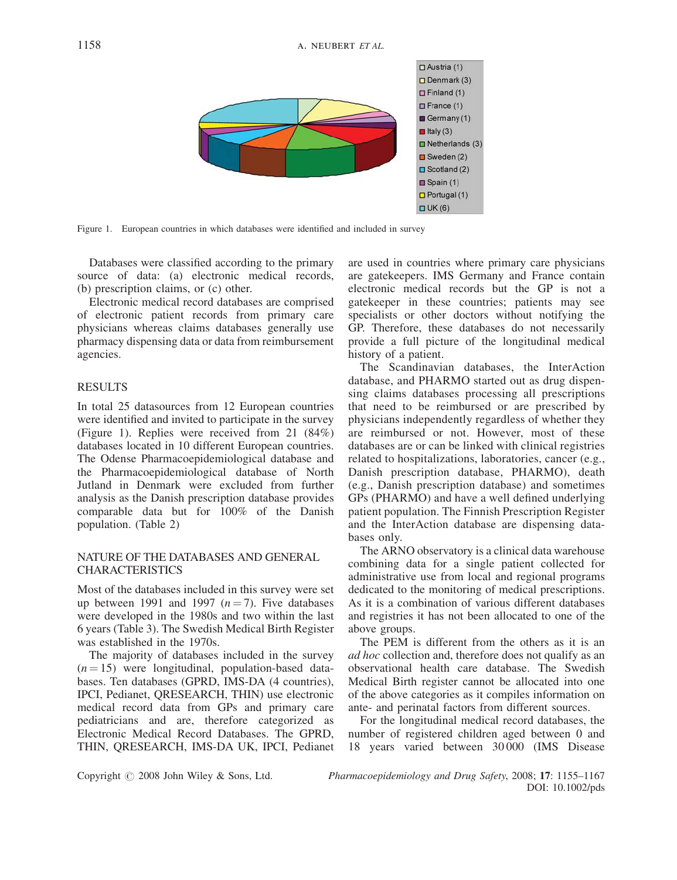

Figure 1. European countries in which databases were identified and included in survey

Databases were classified according to the primary source of data: (a) electronic medical records, (b) prescription claims, or (c) other.

Electronic medical record databases are comprised of electronic patient records from primary care physicians whereas claims databases generally use pharmacy dispensing data or data from reimbursement agencies.

### RESULTS

In total 25 datasources from 12 European countries were identified and invited to participate in the survey (Figure 1). Replies were received from 21 (84%) databases located in 10 different European countries. The Odense Pharmacoepidemiological database and the Pharmacoepidemiological database of North Jutland in Denmark were excluded from further analysis as the Danish prescription database provides comparable data but for 100% of the Danish population. (Table 2)

# NATURE OF THE DATABASES AND GENERAL CHARACTERISTICS

Most of the databases included in this survey were set up between 1991 and 1997  $(n=7)$ . Five databases were developed in the 1980s and two within the last 6 years (Table 3). The Swedish Medical Birth Register was established in the 1970s.

The majority of databases included in the survey  $(n = 15)$  were longitudinal, population-based databases. Ten databases (GPRD, IMS-DA (4 countries), IPCI, Pedianet, QRESEARCH, THIN) use electronic medical record data from GPs and primary care pediatricians and are, therefore categorized as Electronic Medical Record Databases. The GPRD, THIN, QRESEARCH, IMS-DA UK, IPCI, Pedianet are used in countries where primary care physicians are gatekeepers. IMS Germany and France contain electronic medical records but the GP is not a gatekeeper in these countries; patients may see specialists or other doctors without notifying the GP. Therefore, these databases do not necessarily provide a full picture of the longitudinal medical history of a patient.

The Scandinavian databases, the InterAction database, and PHARMO started out as drug dispensing claims databases processing all prescriptions that need to be reimbursed or are prescribed by physicians independently regardless of whether they are reimbursed or not. However, most of these databases are or can be linked with clinical registries related to hospitalizations, laboratories, cancer (e.g., Danish prescription database, PHARMO), death (e.g., Danish prescription database) and sometimes GPs (PHARMO) and have a well defined underlying patient population. The Finnish Prescription Register and the InterAction database are dispensing databases only.

The ARNO observatory is a clinical data warehouse combining data for a single patient collected for administrative use from local and regional programs dedicated to the monitoring of medical prescriptions. As it is a combination of various different databases and registries it has not been allocated to one of the above groups.

The PEM is different from the others as it is an ad hoc collection and, therefore does not qualify as an observational health care database. The Swedish Medical Birth register cannot be allocated into one of the above categories as it compiles information on ante- and perinatal factors from different sources.

For the longitudinal medical record databases, the number of registered children aged between 0 and 18 years varied between 30 000 (IMS Disease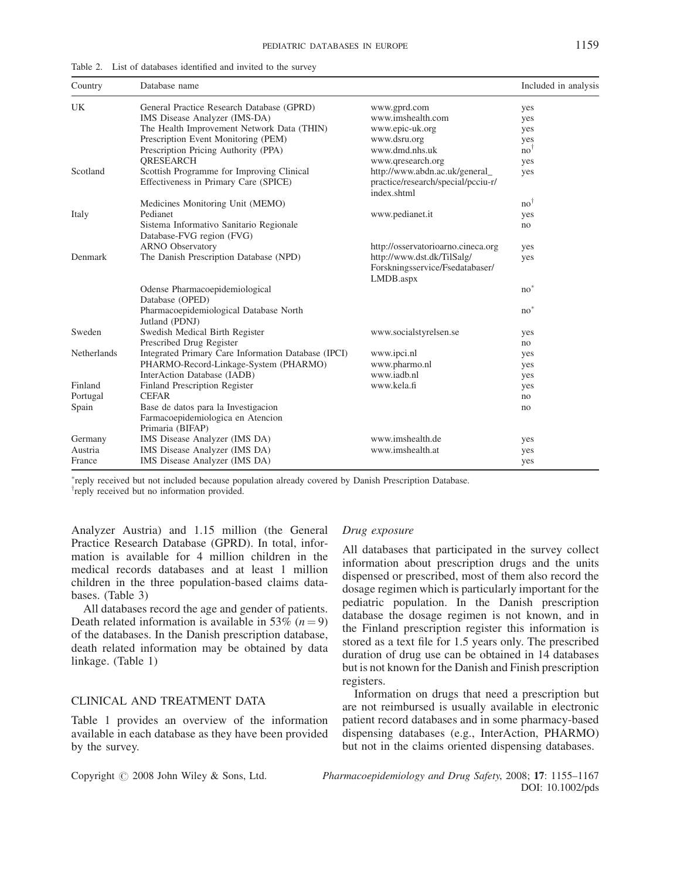| Country     | Database name                                       |                                                   | Included in analysis |
|-------------|-----------------------------------------------------|---------------------------------------------------|----------------------|
| <b>UK</b>   | General Practice Research Database (GPRD)           | www.gprd.com                                      | yes                  |
|             | IMS Disease Analyzer (IMS-DA)                       | www.imshealth.com                                 | yes                  |
|             | The Health Improvement Network Data (THIN)          | www.epic-uk.org                                   | yes                  |
|             | Prescription Event Monitoring (PEM)                 | www.dsru.org                                      | yes                  |
|             | Prescription Pricing Authority (PPA)                | www.dmd.nhs.uk                                    | $no^{\dagger}$       |
|             | ORESEARCH                                           | www.qresearch.org                                 | yes                  |
| Scotland    | Scottish Programme for Improving Clinical           | http://www.abdn.ac.uk/general_                    | yes                  |
|             | Effectiveness in Primary Care (SPICE)               | practice/research/special/pcciu-r/<br>index.shtml |                      |
|             | Medicines Monitoring Unit (MEMO)                    |                                                   | no <sup>7</sup>      |
| Italy       | Pedianet                                            | www.pedianet.it                                   | yes                  |
|             | Sistema Informativo Sanitario Regionale             |                                                   | no                   |
|             | Database-FVG region (FVG)                           |                                                   |                      |
|             | <b>ARNO</b> Observatory                             | http://osservatorioarno.cineca.org                | yes                  |
| Denmark     | The Danish Prescription Database (NPD)              | http://www.dst.dk/TilSalg/                        | yes                  |
|             |                                                     | Forskningsservice/Fsedatabaser/<br>LMDB.aspx      |                      |
|             | Odense Pharmacoepidemiological                      |                                                   | $no^*$               |
|             | Database (OPED)                                     |                                                   |                      |
|             | Pharmacoepidemiological Database North              |                                                   | $no^*$               |
|             | Jutland (PDNJ)                                      |                                                   |                      |
| Sweden      | Swedish Medical Birth Register                      | www.socialstyrelsen.se                            | yes                  |
|             | Prescribed Drug Register                            |                                                   | no                   |
| Netherlands | Integrated Primary Care Information Database (IPCI) | www.ipci.nl                                       | yes                  |
|             | PHARMO-Record-Linkage-System (PHARMO)               | www.pharmo.nl                                     | yes                  |
|             | InterAction Database (IADB)                         | www.iadb.nl                                       | yes                  |
| Finland     | Finland Prescription Register                       | www.kela.fi                                       | yes                  |
| Portugal    | <b>CEFAR</b>                                        |                                                   | no                   |
| Spain       | Base de datos para la Investigacion                 |                                                   | no                   |
|             | Farmacoepidemiologica en Atencion                   |                                                   |                      |
|             | Primaria (BIFAP)                                    |                                                   |                      |
| Germany     | IMS Disease Analyzer (IMS DA)                       | www.imshealth.de                                  | yes                  |
| Austria     | IMS Disease Analyzer (IMS DA)                       | www.imshealth.at                                  | yes                  |
| France      | IMS Disease Analyzer (IMS DA)                       |                                                   | yes                  |

Table 2. List of databases identified and invited to the survey

reply received but not included because population already covered by Danish Prescription Database. Treply received but no information provided.

Analyzer Austria) and 1.15 million (the General Practice Research Database (GPRD). In total, information is available for 4 million children in the medical records databases and at least 1 million children in the three population-based claims databases. (Table 3)

All databases record the age and gender of patients. Death related information is available in 53%  $(n = 9)$ of the databases. In the Danish prescription database, death related information may be obtained by data linkage. (Table 1)

#### CLINICAL AND TREATMENT DATA

Table 1 provides an overview of the information available in each database as they have been provided by the survey.

#### Drug exposure

All databases that participated in the survey collect information about prescription drugs and the units dispensed or prescribed, most of them also record the dosage regimen which is particularly important for the pediatric population. In the Danish prescription database the dosage regimen is not known, and in the Finland prescription register this information is stored as a text file for 1.5 years only. The prescribed duration of drug use can be obtained in 14 databases but is not known for the Danish and Finish prescription registers.

Information on drugs that need a prescription but are not reimbursed is usually available in electronic patient record databases and in some pharmacy-based dispensing databases (e.g., InterAction, PHARMO) but not in the claims oriented dispensing databases.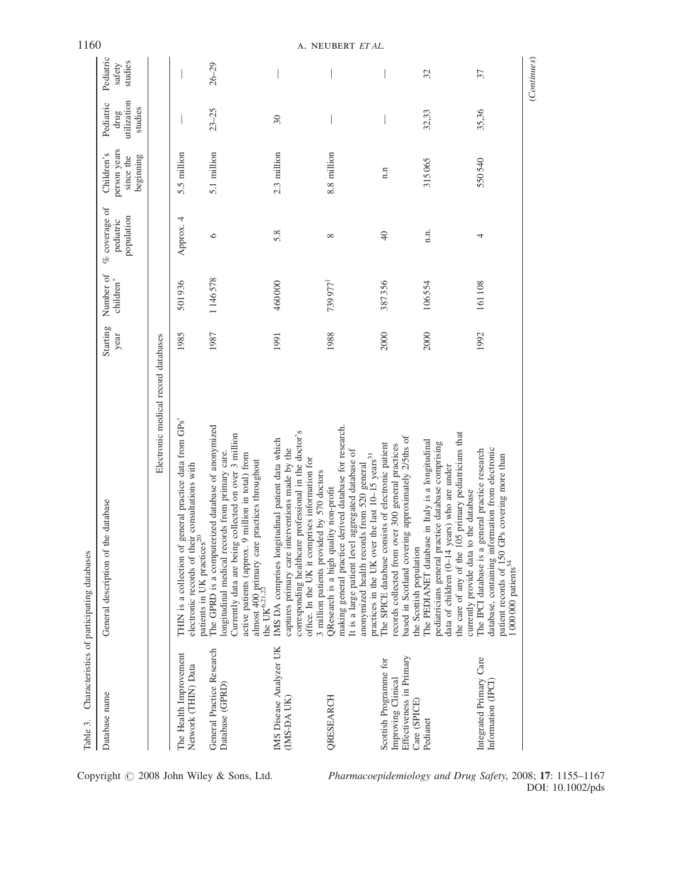| Table 3.                                                                                 | Characteristics of participating databases                                                                                                                                                                                                                                                     |                  |                        |                                            |                                                      |                                                        |                                |
|------------------------------------------------------------------------------------------|------------------------------------------------------------------------------------------------------------------------------------------------------------------------------------------------------------------------------------------------------------------------------------------------|------------------|------------------------|--------------------------------------------|------------------------------------------------------|--------------------------------------------------------|--------------------------------|
| Database name                                                                            | General description of the database                                                                                                                                                                                                                                                            | Starting<br>year | Number of<br>children* | $%$ coverage of<br>population<br>pediatric | person years<br>Children's<br>beginning<br>since the | utilization<br>Pediatric<br>studies<br>$d\mathrm{rug}$ | Pediatric<br>studies<br>safety |
|                                                                                          | Electronic medical record databases                                                                                                                                                                                                                                                            |                  |                        |                                            |                                                      |                                                        |                                |
| The Health Improvement<br>Network (THIN) Data                                            | THIN is a collection of general practice data from GPs'<br>electronic records of their consultations with<br>patients in UK practices <sup>20</sup>                                                                                                                                            | 1985             | 501936                 | Approx. 4                                  | 5.5 million                                          |                                                        |                                |
| General Practice Research<br>Database (GPRD)                                             | The GPRD is a computerized database of anonymized<br>Currently data are being collected on over 3 million<br>longitudinal medical records from primary care.<br>active patients (approx. 9 million in total) from<br>almost 400 primary care practices throughout<br>the UK <sup>6,21,22</sup> | 1987             | 1146578                | $\circ$                                    | 5.1 million                                          | $23 - 25$                                              | $26 - 29$                      |
| IMS Disease Analyzer UK<br>(IMS-DA UK)                                                   | corresponding healthcare professional in the doctor's<br>IMS DA comprises longitudinal patient data which<br>captures primary care interventions made by the<br>office. In the UK it comprises information for<br>3 million patients provided by 570 doctors                                   | 1991             | 460000                 | 5.8                                        | 2.3 million                                          | 30                                                     |                                |
| ORESEARCH                                                                                | making general practice derived database for research.<br>It is a large patient level aggregated database of<br>practices in the UK over the last 10-15 years <sup>31</sup><br>health records from 520 general<br>a high quality non-profit<br>QResearch is<br>anonymized                      | 1988             | 739977                 | ${}^{\circ}$                               | 8.8 million                                          |                                                        |                                |
| Effectiveness in Primary<br>Scottish Programme for<br>Improving Clinical<br>Care (SPICE) | based in Scotland covering approximately 2/5ths of<br>The SPICE database consists of electronic patient<br>records collected from over 300 general practices<br>the Scottish population                                                                                                        | 2000             | 387356                 | $\sqrt{4}$                                 | n.n                                                  |                                                        |                                |
| Pedianet                                                                                 | the care of any of the 105 primary pediatricians that<br>The PEDIANET database in Italy is a longitudinal<br>pediatricians general practice database comprising<br>data of children (0-14 years) who are under<br>currently provide data to the database                                       | 2000             | 106554                 | n.n.                                       | 315065                                               | 32,33                                                  | 32                             |
| Integrated Primary Care<br>Information (IPCI)                                            | database, containing information from electronic<br>The IPCI database is a general practice research<br>patient records of 150 GPs covering more than<br>$1000000$ patients <sup>34</sup>                                                                                                      | 1992             | 161108                 | 4                                          | 550540                                               | 35,36                                                  | 37                             |
|                                                                                          |                                                                                                                                                                                                                                                                                                |                  |                        |                                            |                                                      |                                                        | (Continues)                    |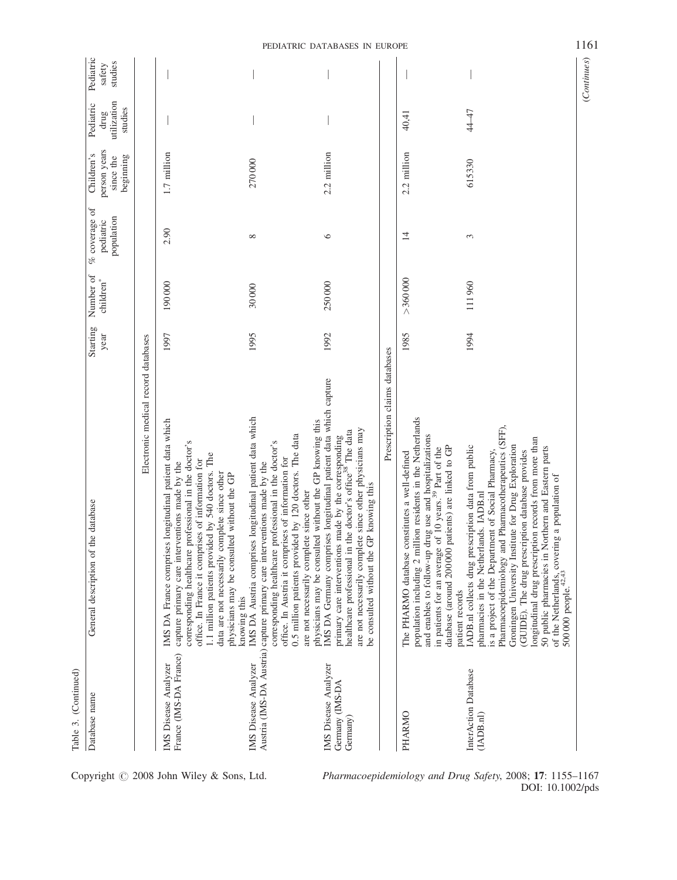| Table 3. (Continued)                               |                                                                                                                                                                                                                                                                                                                                                                                                                                                                                                                                           |                  |                        |                                            |                                                      |                                             |                                |
|----------------------------------------------------|-------------------------------------------------------------------------------------------------------------------------------------------------------------------------------------------------------------------------------------------------------------------------------------------------------------------------------------------------------------------------------------------------------------------------------------------------------------------------------------------------------------------------------------------|------------------|------------------------|--------------------------------------------|------------------------------------------------------|---------------------------------------------|--------------------------------|
| Database name                                      | General description of the database                                                                                                                                                                                                                                                                                                                                                                                                                                                                                                       | Starting<br>year | Number of<br>children* | $%$ coverage of<br>population<br>pediatric | person years<br>Children's<br>beginning<br>since the | utilization<br>Pediatric<br>studies<br>drug | Pediatric<br>studies<br>safety |
|                                                    | Electronic medical record databases                                                                                                                                                                                                                                                                                                                                                                                                                                                                                                       |                  |                        |                                            |                                                      |                                             |                                |
| France (IMS-DA France)<br>IMS Disease Analyzer     | IMS DA France comprises longitudinal patient data which<br>corresponding healthcare professional in the doctor's<br>1.1 million patients provided by 540 doctors. The<br>office. In France it comprises of information for<br>capture primary care interventions made by the<br>data are not necessarily complete since other<br>physicians may be consulted without the GP                                                                                                                                                               | 1997             | 190000                 | 2.90                                       | 1.7 million                                          |                                             |                                |
| IMS Disease Analyzer                               | IMS DA Austria comprises longitudinal patient data which<br>0.5 million patients provided by 120 doctors. The data<br>corresponding healthcare professional in the doctor's<br>office. In Austria it comprises of information for<br>Austria (IMS-DA Austria) capture primary care interventions made by the<br>are not necessarily complete since other<br>knowing this                                                                                                                                                                  | 1995             | 30000                  | $\infty$                                   | 270000                                               |                                             |                                |
| MS Disease Analyzer<br>Germany (IMS-DA<br>Germany) | IMS DA Germany comprises longitudinal patient data which capture<br>physicians may be consulted without the GP knowing this<br>are not necessarily complete since other physicians may<br>healthcare professional in the doctor's office <sup>38</sup> The data<br>primary care interventions made by the corresponding<br>be consulted without the GP knowing this                                                                                                                                                                       | 1992             | 250000                 | ७                                          | 2.2 million                                          |                                             |                                |
|                                                    | Prescription claims databases                                                                                                                                                                                                                                                                                                                                                                                                                                                                                                             |                  |                        |                                            |                                                      |                                             |                                |
| PHARMO                                             | population including 2 million residents in the Netherlands<br>and enables to follow-up drug use and hospitalizations<br>nd 200000 patients) are linked to GP<br>in patients for an average of 10 years. <sup>39</sup> Part of the<br>The PHARMO database constitutes a well-defined<br>database (arou<br>patient records                                                                                                                                                                                                                 | 1985             | >360000                | $\overline{4}$                             | 2.2 million                                          | 40,41                                       |                                |
| InterAction Database<br>(IADB.nI)                  | Pharmacoepidemiology and Pharmacotherapeutics (SFF),<br>longitudinal drug prescription records from more than<br>Groningen University Institute for Drug Exploration<br>50 public pharmacies in Northern and Eastern parts<br>(ADB.nl collects drug prescription data from public<br>is a project of the Department of Social Pharmacy,<br>(GUIDE). The drug prescription database provides<br>of the Netherlands, covering a population of $\epsilon$ co.000 page $42.43$<br>the Netherlands. IADB.nl<br>500000 people.<br>pharmacies in | 1994             | 111960                 | 3                                          | 615330                                               | 44–47                                       |                                |
|                                                    |                                                                                                                                                                                                                                                                                                                                                                                                                                                                                                                                           |                  |                        |                                            |                                                      |                                             | (Continues)                    |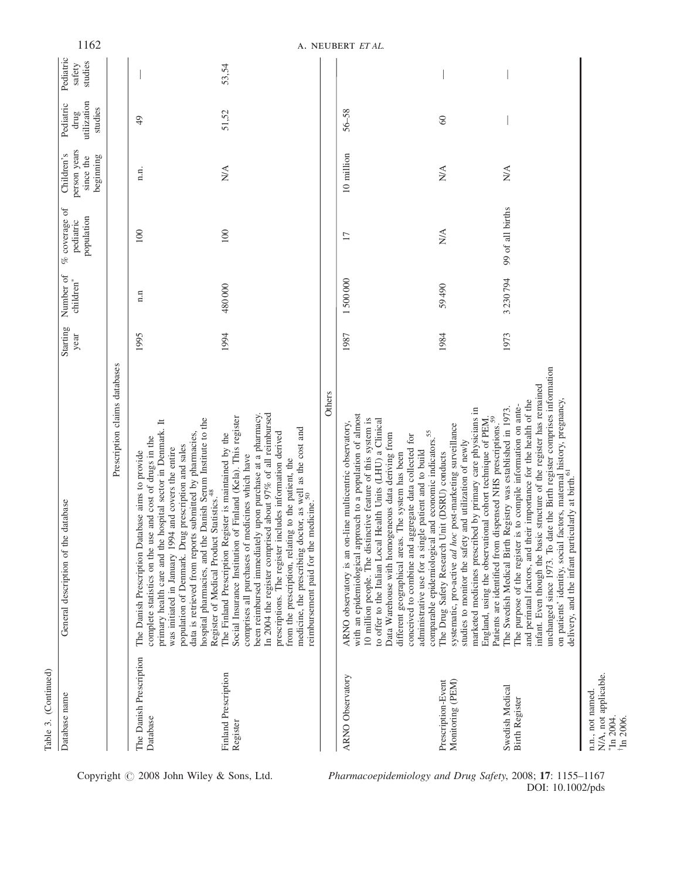| Table 3. (Continued)                                              |                                                                                                                                                                                                                                                                                                                                                                                                                                                                                                                                                        |                  |                        |                                             |                                                      |                                                        |                                |
|-------------------------------------------------------------------|--------------------------------------------------------------------------------------------------------------------------------------------------------------------------------------------------------------------------------------------------------------------------------------------------------------------------------------------------------------------------------------------------------------------------------------------------------------------------------------------------------------------------------------------------------|------------------|------------------------|---------------------------------------------|------------------------------------------------------|--------------------------------------------------------|--------------------------------|
| Database name                                                     | General description of the database                                                                                                                                                                                                                                                                                                                                                                                                                                                                                                                    | Starting<br>year | Number of<br>children* | $\%$ coverage of<br>population<br>pediatric | person years<br>Children's<br>beginning<br>since the | utilization<br>Pediatric<br>studies<br>$d\mathrm{rug}$ | Pediatric<br>studies<br>safety |
|                                                                   | Prescription claims databases                                                                                                                                                                                                                                                                                                                                                                                                                                                                                                                          |                  |                        |                                             |                                                      |                                                        |                                |
| The Danish Prescription<br>Database                               | hospital pharmacies, and the Danish Serum Institute to the<br>primary health care and the hospital sector in Denmark. It<br>from reports submitted by pharmacies,<br>complete statistics on the use and cost of drugs in the<br>population of Denmark. Drug prescription and sales<br>was initiated in January 1994 and covers the entire<br>The Danish Prescription Database aims to provide<br>Register of Medical Product Statistics. <sup>48</sup><br>data is retrieved                                                                            | 1995             | n.n                    | 100                                         | n.n.                                                 | $\frac{1}{4}$                                          |                                |
| Finland Prescription<br>Register                                  | In 2004 the register comprised about 97% of all reimbursed<br>been reimbursed immediately upon purchase at a pharmacy.<br>Social Insurance Institution of Finland (Kela). This register<br>medicine, the prescribing doctor, as well as the cost and<br>reimbursement paid for the medicine. <sup>50</sup><br>prescriptions. The register includes information derived<br>The Finland Prescription Register is maintained by the<br>comprises all purchases of medicines which have<br>from the prescription, relating to the patient, the             | 1994             | 480000                 | 100                                         | $\stackrel{\triangle}{\geq}$                         | 51,52                                                  | 53,54                          |
|                                                                   | Others                                                                                                                                                                                                                                                                                                                                                                                                                                                                                                                                                 |                  |                        |                                             |                                                      |                                                        |                                |
| <b>ARNO</b> Observatory                                           | with an epidemiological approach to a population of almost<br>10 million people. The distinctive feature of this system is<br>to offer to the Italian Local Health Units (LHU) a Clinical<br>ARNO observatory is an on-line multicentric observatory,<br>comparable epidemiological and economic indicators. <sup>55</sup><br>Data Warehouse with homogeneous data deriving from<br>conceived to combine and aggregate data collected for<br>administrative use for a single patient and to build<br>different geographical areas. The system has been | 1987             | 1500000                | $\Box$                                      | 10 million                                           | 56–58                                                  |                                |
| Monitoring (PEM)<br>Prescription-Event                            | marketed medicines prescribed by primary care physicians in<br>Patients are identified from dispensed NHS prescriptions. <sup>59</sup><br>England, using the observational cohort technique of PEM<br>systematic, pro-active ad hoc post-marketing surveillance<br>studies to monitor the safety and utilization of newly<br>Research Unit (DSRU) conducts<br>The Drug Safety                                                                                                                                                                          | 1984             | 59490                  | ₹                                           | $\frac{\triangleleft}{\triangle}$                    | $\degree$                                              |                                |
| Swedish Medical<br><b>Birth Register</b>                          | unchanged since 1973. To date the Birth register comprises information<br>infant. Even though the basic structure of the register has remained<br>on patients' identity, social factors, maternal history, pregnancy, delivery, and the infant particularly at birth. <sup>61</sup><br>and perinatal factors, and their importance for the health of the<br>The purpose of the register is to compile information on ante-<br>The Swedish Medical Birth Registry was established in 1973.                                                              | 1973             | 3230794                | 99 of all births                            | $\sum_{i=1}^{n}$                                     |                                                        |                                |
| N/A, not applicable.<br>n.n., not named.<br>*In 2004.<br>In 2006. |                                                                                                                                                                                                                                                                                                                                                                                                                                                                                                                                                        |                  |                        |                                             |                                                      |                                                        |                                |

Copyright  $\odot$  2008 John Wiley & Sons, Ltd. Pharmacoepidemiology and Drug Safety, 2008; 17: 1155-1167 DOI: 10.1002/pds

1162  $\alpha$  NEUREDT ET AL.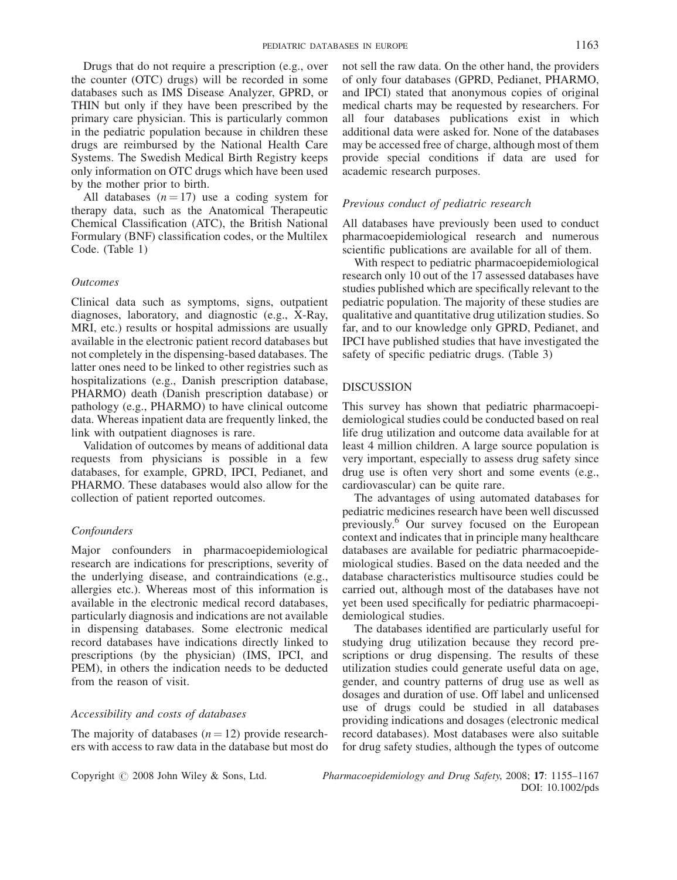Drugs that do not require a prescription (e.g., over the counter (OTC) drugs) will be recorded in some databases such as IMS Disease Analyzer, GPRD, or THIN but only if they have been prescribed by the primary care physician. This is particularly common in the pediatric population because in children these drugs are reimbursed by the National Health Care Systems. The Swedish Medical Birth Registry keeps only information on OTC drugs which have been used by the mother prior to birth.

All databases  $(n = 17)$  use a coding system for therapy data, such as the Anatomical Therapeutic Chemical Classification (ATC), the British National Formulary (BNF) classification codes, or the Multilex Code. (Table 1)

#### **Outcomes**

Clinical data such as symptoms, signs, outpatient diagnoses, laboratory, and diagnostic (e.g., X-Ray, MRI, etc.) results or hospital admissions are usually available in the electronic patient record databases but not completely in the dispensing-based databases. The latter ones need to be linked to other registries such as hospitalizations (e.g., Danish prescription database, PHARMO) death (Danish prescription database) or pathology (e.g., PHARMO) to have clinical outcome data. Whereas inpatient data are frequently linked, the link with outpatient diagnoses is rare.

Validation of outcomes by means of additional data requests from physicians is possible in a few databases, for example, GPRD, IPCI, Pedianet, and PHARMO. These databases would also allow for the collection of patient reported outcomes.

#### **Confounders**

Major confounders in pharmacoepidemiological research are indications for prescriptions, severity of the underlying disease, and contraindications (e.g., allergies etc.). Whereas most of this information is available in the electronic medical record databases, particularly diagnosis and indications are not available in dispensing databases. Some electronic medical record databases have indications directly linked to prescriptions (by the physician) (IMS, IPCI, and PEM), in others the indication needs to be deducted from the reason of visit.

#### Accessibility and costs of databases

The majority of databases  $(n = 12)$  provide researchers with access to raw data in the database but most do not sell the raw data. On the other hand, the providers of only four databases (GPRD, Pedianet, PHARMO, and IPCI) stated that anonymous copies of original medical charts may be requested by researchers. For all four databases publications exist in which additional data were asked for. None of the databases may be accessed free of charge, although most of them provide special conditions if data are used for academic research purposes.

#### Previous conduct of pediatric research

All databases have previously been used to conduct pharmacoepidemiological research and numerous scientific publications are available for all of them.

With respect to pediatric pharmacoepidemiological research only 10 out of the 17 assessed databases have studies published which are specifically relevant to the pediatric population. The majority of these studies are qualitative and quantitative drug utilization studies. So far, and to our knowledge only GPRD, Pedianet, and IPCI have published studies that have investigated the safety of specific pediatric drugs. (Table 3)

### DISCUSSION

This survey has shown that pediatric pharmacoepidemiological studies could be conducted based on real life drug utilization and outcome data available for at least 4 million children. A large source population is very important, especially to assess drug safety since drug use is often very short and some events (e.g., cardiovascular) can be quite rare.

The advantages of using automated databases for pediatric medicines research have been well discussed previously.<sup>6</sup> Our survey focused on the European context and indicates that in principle many healthcare databases are available for pediatric pharmacoepidemiological studies. Based on the data needed and the database characteristics multisource studies could be carried out, although most of the databases have not yet been used specifically for pediatric pharmacoepidemiological studies.

The databases identified are particularly useful for studying drug utilization because they record prescriptions or drug dispensing. The results of these utilization studies could generate useful data on age, gender, and country patterns of drug use as well as dosages and duration of use. Off label and unlicensed use of drugs could be studied in all databases providing indications and dosages (electronic medical record databases). Most databases were also suitable for drug safety studies, although the types of outcome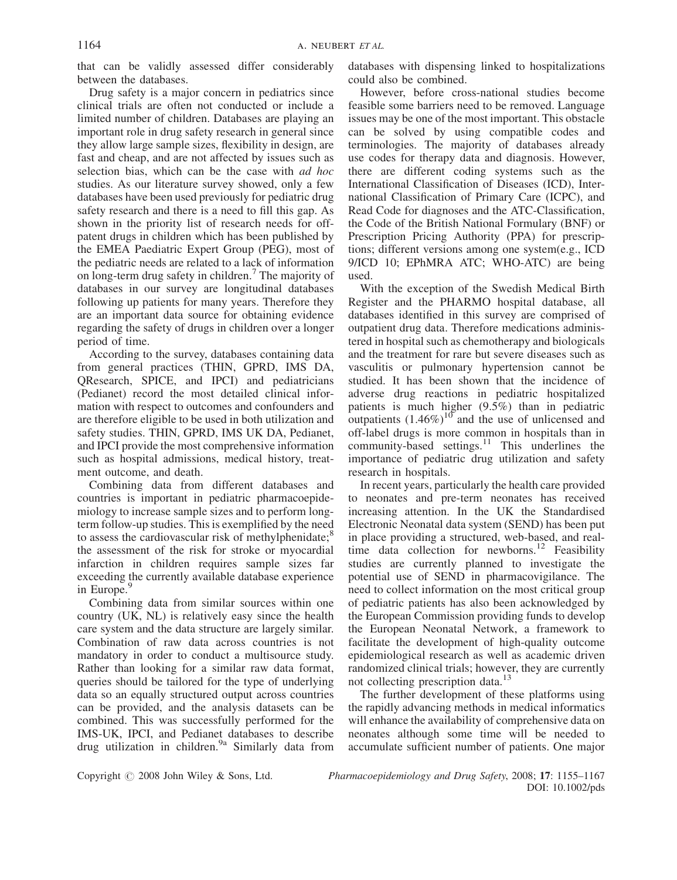that can be validly assessed differ considerably between the databases.

Drug safety is a major concern in pediatrics since clinical trials are often not conducted or include a limited number of children. Databases are playing an important role in drug safety research in general since they allow large sample sizes, flexibility in design, are fast and cheap, and are not affected by issues such as selection bias, which can be the case with ad hoc studies. As our literature survey showed, only a few databases have been used previously for pediatric drug safety research and there is a need to fill this gap. As shown in the priority list of research needs for offpatent drugs in children which has been published by the EMEA Paediatric Expert Group (PEG), most of the pediatric needs are related to a lack of information on long-term drug safety in children.<sup>7</sup> The majority of databases in our survey are longitudinal databases following up patients for many years. Therefore they are an important data source for obtaining evidence regarding the safety of drugs in children over a longer period of time.

According to the survey, databases containing data from general practices (THIN, GPRD, IMS DA, QResearch, SPICE, and IPCI) and pediatricians (Pedianet) record the most detailed clinical information with respect to outcomes and confounders and are therefore eligible to be used in both utilization and safety studies. THIN, GPRD, IMS UK DA, Pedianet, and IPCI provide the most comprehensive information such as hospital admissions, medical history, treatment outcome, and death.

Combining data from different databases and countries is important in pediatric pharmacoepidemiology to increase sample sizes and to perform longterm follow-up studies. This is exemplified by the need to assess the cardiovascular risk of methylphenidate;<sup>8</sup> the assessment of the risk for stroke or myocardial infarction in children requires sample sizes far exceeding the currently available database experience in Europe.<sup>9</sup>

Combining data from similar sources within one country (UK, NL) is relatively easy since the health care system and the data structure are largely similar. Combination of raw data across countries is not mandatory in order to conduct a multisource study. Rather than looking for a similar raw data format, queries should be tailored for the type of underlying data so an equally structured output across countries can be provided, and the analysis datasets can be combined. This was successfully performed for the IMS-UK, IPCI, and Pedianet databases to describe drug utilization in children.<sup>9a</sup> Similarly data from databases with dispensing linked to hospitalizations could also be combined.

However, before cross-national studies become feasible some barriers need to be removed. Language issues may be one of the most important. This obstacle can be solved by using compatible codes and terminologies. The majority of databases already use codes for therapy data and diagnosis. However, there are different coding systems such as the International Classification of Diseases (ICD), International Classification of Primary Care (ICPC), and Read Code for diagnoses and the ATC-Classification, the Code of the British National Formulary (BNF) or Prescription Pricing Authority (PPA) for prescriptions; different versions among one system(e.g., ICD 9/ICD 10; EPhMRA ATC; WHO-ATC) are being used.

With the exception of the Swedish Medical Birth Register and the PHARMO hospital database, all databases identified in this survey are comprised of outpatient drug data. Therefore medications administered in hospital such as chemotherapy and biologicals and the treatment for rare but severe diseases such as vasculitis or pulmonary hypertension cannot be studied. It has been shown that the incidence of adverse drug reactions in pediatric hospitalized patients is much higher (9.5%) than in pediatric outpatients  $(1.46\%)^{10}$  and the use of unlicensed and off-label drugs is more common in hospitals than in community-based settings. $\frac{11}{11}$  This underlines the importance of pediatric drug utilization and safety research in hospitals.

In recent years, particularly the health care provided to neonates and pre-term neonates has received increasing attention. In the UK the Standardised Electronic Neonatal data system (SEND) has been put in place providing a structured, web-based, and realtime data collection for newborns.<sup>12</sup> Feasibility studies are currently planned to investigate the potential use of SEND in pharmacovigilance. The need to collect information on the most critical group of pediatric patients has also been acknowledged by the European Commission providing funds to develop the European Neonatal Network, a framework to facilitate the development of high-quality outcome epidemiological research as well as academic driven randomized clinical trials; however, they are currently not collecting prescription data.<sup>13</sup>

The further development of these platforms using the rapidly advancing methods in medical informatics will enhance the availability of comprehensive data on neonates although some time will be needed to accumulate sufficient number of patients. One major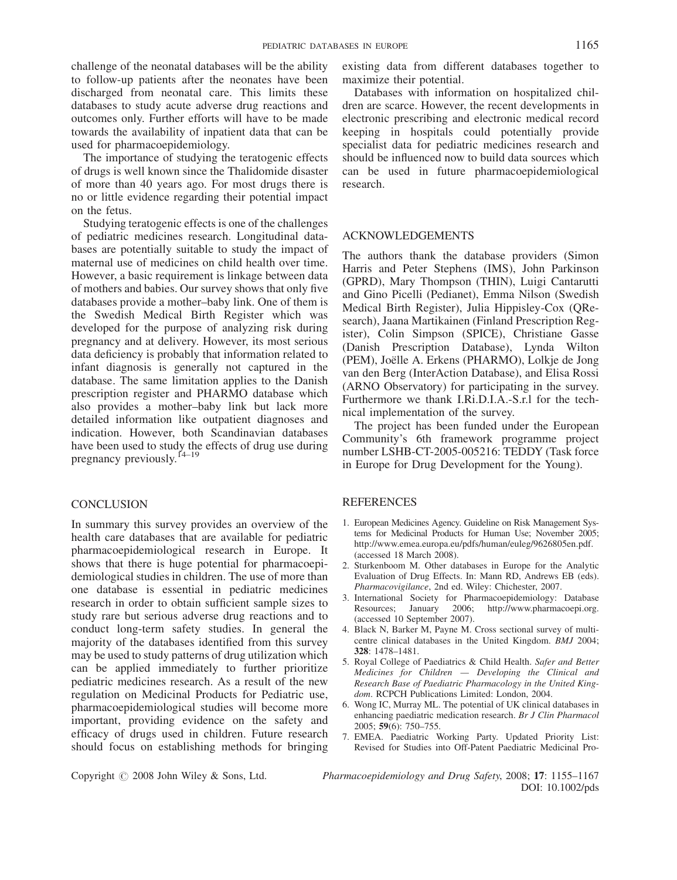challenge of the neonatal databases will be the ability to follow-up patients after the neonates have been discharged from neonatal care. This limits these databases to study acute adverse drug reactions and outcomes only. Further efforts will have to be made towards the availability of inpatient data that can be used for pharmacoepidemiology.

The importance of studying the teratogenic effects of drugs is well known since the Thalidomide disaster of more than 40 years ago. For most drugs there is no or little evidence regarding their potential impact on the fetus.

Studying teratogenic effects is one of the challenges of pediatric medicines research. Longitudinal databases are potentially suitable to study the impact of maternal use of medicines on child health over time. However, a basic requirement is linkage between data of mothers and babies. Our survey shows that only five databases provide a mother–baby link. One of them is the Swedish Medical Birth Register which was developed for the purpose of analyzing risk during pregnancy and at delivery. However, its most serious data deficiency is probably that information related to infant diagnosis is generally not captured in the database. The same limitation applies to the Danish prescription register and PHARMO database which also provides a mother–baby link but lack more detailed information like outpatient diagnoses and indication. However, both Scandinavian databases have been used to study the effects of drug use during pregnancy previously.14–19

# **CONCLUSION**

In summary this survey provides an overview of the health care databases that are available for pediatric pharmacoepidemiological research in Europe. It shows that there is huge potential for pharmacoepidemiological studies in children. The use of more than one database is essential in pediatric medicines research in order to obtain sufficient sample sizes to study rare but serious adverse drug reactions and to conduct long-term safety studies. In general the majority of the databases identified from this survey may be used to study patterns of drug utilization which can be applied immediately to further prioritize pediatric medicines research. As a result of the new regulation on Medicinal Products for Pediatric use, pharmacoepidemiological studies will become more important, providing evidence on the safety and efficacy of drugs used in children. Future research should focus on establishing methods for bringing existing data from different databases together to maximize their potential.

Databases with information on hospitalized children are scarce. However, the recent developments in electronic prescribing and electronic medical record keeping in hospitals could potentially provide specialist data for pediatric medicines research and should be influenced now to build data sources which can be used in future pharmacoepidemiological research.

## ACKNOWLEDGEMENTS

The authors thank the database providers (Simon Harris and Peter Stephens (IMS), John Parkinson (GPRD), Mary Thompson (THIN), Luigi Cantarutti and Gino Picelli (Pedianet), Emma Nilson (Swedish Medical Birth Register), Julia Hippisley-Cox (QResearch), Jaana Martikainen (Finland Prescription Register), Colin Simpson (SPICE), Christiane Gasse (Danish Prescription Database), Lynda Wilton (PEM), Joëlle A. Erkens (PHARMO), Lolkje de Jong van den Berg (InterAction Database), and Elisa Rossi (ARNO Observatory) for participating in the survey. Furthermore we thank I.Ri.D.I.A.-S.r.l for the technical implementation of the survey.

The project has been funded under the European Community's 6th framework programme project number LSHB-CT-2005-005216: TEDDY (Task force in Europe for Drug Development for the Young).

## **REFERENCES**

- 1. European Medicines Agency. Guideline on Risk Management Systems for Medicinal Products for Human Use; November 2005; http://www.emea.europa.eu/pdfs/human/euleg/9626805en.pdf. (accessed 18 March 2008).
- 2. Sturkenboom M. Other databases in Europe for the Analytic Evaluation of Drug Effects. In: Mann RD, Andrews EB (eds). Pharmacovigilance, 2nd ed. Wiley: Chichester, 2007.
- 3. International Society for Pharmacoepidemiology: Database Resources; January 2006; http://www.pharmacoepi.org. (accessed 10 September 2007).
- 4. Black N, Barker M, Payne M. Cross sectional survey of multicentre clinical databases in the United Kingdom. BMJ 2004; 328: 1478–1481.
- 5. Royal College of Paediatrics & Child Health. Safer and Better Medicines for Children — Developing the Clinical and Research Base of Paediatric Pharmacology in the United Kingdom. RCPCH Publications Limited: London, 2004.
- 6. Wong IC, Murray ML. The potential of UK clinical databases in enhancing paediatric medication research. Br J Clin Pharmacol 2005; 59(6): 750–755.
- 7. EMEA. Paediatric Working Party. Updated Priority List: Revised for Studies into Off-Patent Paediatric Medicinal Pro-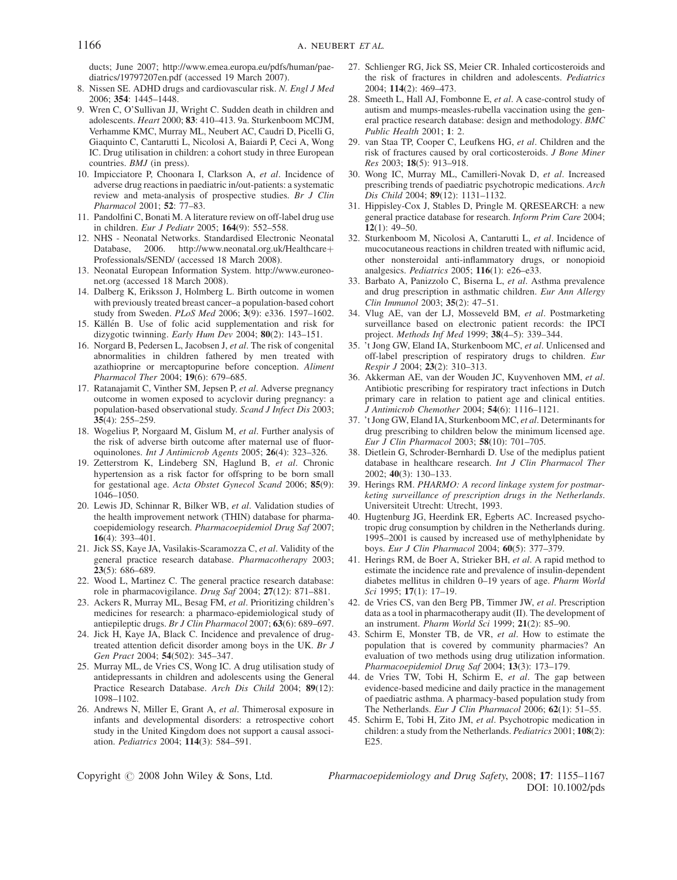ducts; June 2007; http://www.emea.europa.eu/pdfs/human/paediatrics/19797207en.pdf (accessed 19 March 2007).

- 8. Nissen SE. ADHD drugs and cardiovascular risk. N. Engl J Med 2006; 354: 1445–1448.
- 9. Wren C, O'Sullivan JJ, Wright C. Sudden death in children and adolescents. Heart 2000; 83: 410–413. 9a. Sturkenboom MCJM, Verhamme KMC, Murray ML, Neubert AC, Caudri D, Picelli G, Giaquinto C, Cantarutti L, Nicolosi A, Baiardi P, Ceci A, Wong IC. Drug utilisation in children: a cohort study in three European countries. BMJ (in press).
- 10. Impicciatore P, Choonara I, Clarkson A, et al. Incidence of adverse drug reactions in paediatric in/out-patients: a systematic review and meta-analysis of prospective studies. Br J Clin Pharmacol 2001; 52: 77–83.
- 11. Pandolfini C, Bonati M. A literature review on off-label drug use in children. Eur J Pediatr 2005; 164(9): 552-558.
- 12. NHS Neonatal Networks. Standardised Electronic Neonatal Database, 2006. http://www.neonatal.org.uk/Healthcare+ Professionals/SEND/ (accessed 18 March 2008).
- 13. Neonatal European Information System. http://www.euroneonet.org (accessed 18 March 2008).
- 14. Dalberg K, Eriksson J, Holmberg L. Birth outcome in women with previously treated breast cancer–a population-based cohort study from Sweden. PLoS Med 2006; 3(9): e336. 1597–1602.
- 15. Källén B. Use of folic acid supplementation and risk for dizygotic twinning. *Early Hum Dev* 2004; **80**(2): 143–151.
- 16. Norgard B, Pedersen L, Jacobsen J, et al. The risk of congenital abnormalities in children fathered by men treated with azathioprine or mercaptopurine before conception. Aliment Pharmacol Ther 2004; 19(6): 679–685.
- 17. Ratanajamit C, Vinther SM, Jepsen P, et al. Adverse pregnancy outcome in women exposed to acyclovir during pregnancy: a population-based observational study. Scand J Infect Dis 2003; 35(4): 255–259.
- 18. Wogelius P, Norgaard M, Gislum M, et al. Further analysis of the risk of adverse birth outcome after maternal use of fluoroquinolones. Int J Antimicrob Agents 2005; 26(4): 323–326.
- 19. Zetterstrom K, Lindeberg SN, Haglund B, et al. Chronic hypertension as a risk factor for offspring to be born small for gestational age. Acta Obstet Gynecol Scand 2006; 85(9): 1046–1050.
- 20. Lewis JD, Schinnar R, Bilker WB, et al. Validation studies of the health improvement network (THIN) database for pharmacoepidemiology research. Pharmacoepidemiol Drug Saf 2007; 16(4): 393–401.
- 21. Jick SS, Kaye JA, Vasilakis-Scaramozza C, et al. Validity of the general practice research database. Pharmacotherapy 2003; 23(5): 686–689.
- 22. Wood L, Martinez C. The general practice research database: role in pharmacovigilance. Drug Saf 2004; 27(12): 871–881.
- 23. Ackers R, Murray ML, Besag FM, et al. Prioritizing children's medicines for research: a pharmaco-epidemiological study of antiepileptic drugs. Br J Clin Pharmacol 2007; 63(6): 689–697.
- 24. Jick H, Kaye JA, Black C. Incidence and prevalence of drugtreated attention deficit disorder among boys in the UK. Br J Gen Pract 2004; 54(502): 345–347.
- 25. Murray ML, de Vries CS, Wong IC. A drug utilisation study of antidepressants in children and adolescents using the General Practice Research Database. Arch Dis Child 2004; 89(12): 1098–1102.
- 26. Andrews N, Miller E, Grant A, et al. Thimerosal exposure in infants and developmental disorders: a retrospective cohort study in the United Kingdom does not support a causal association. Pediatrics 2004; 114(3): 584–591.
- 27. Schlienger RG, Jick SS, Meier CR. Inhaled corticosteroids and the risk of fractures in children and adolescents. Pediatrics 2004; 114(2): 469–473.
- 28. Smeeth L, Hall AJ, Fombonne E, et al. A case-control study of autism and mumps-measles-rubella vaccination using the general practice research database: design and methodology. BMC Public Health 2001; 1: 2.
- 29. van Staa TP, Cooper C, Leufkens HG, et al. Children and the risk of fractures caused by oral corticosteroids. J Bone Miner Res 2003; 18(5): 913–918.
- 30. Wong IC, Murray ML, Camilleri-Novak D, et al. Increased prescribing trends of paediatric psychotropic medications. Arch Dis Child 2004; 89(12): 1131–1132.
- 31. Hippisley-Cox J, Stables D, Pringle M. QRESEARCH: a new general practice database for research. Inform Prim Care 2004;  $12(1): 49-50.$
- 32. Sturkenboom M, Nicolosi A, Cantarutti L, et al. Incidence of mucocutaneous reactions in children treated with niflumic acid, other nonsteroidal anti-inflammatory drugs, or nonopioid analgesics. Pediatrics 2005; 116(1): e26–e33.
- 33. Barbato A, Panizzolo C, Biserna L, et al. Asthma prevalence and drug prescription in asthmatic children. Eur Ann Allergy Clin Immunol 2003; 35(2): 47–51.
- 34. Vlug AE, van der LJ, Mosseveld BM, et al. Postmarketing surveillance based on electronic patient records: the IPCI project. Methods Inf Med 1999; 38(4-5): 339-344.
- 35. 't Jong GW, Eland IA, Sturkenboom MC, et al. Unlicensed and off-label prescription of respiratory drugs to children. Eur Respir J 2004; 23(2): 310–313.
- 36. Akkerman AE, van der Wouden JC, Kuyvenhoven MM, et al. Antibiotic prescribing for respiratory tract infections in Dutch primary care in relation to patient age and clinical entities. J Antimicrob Chemother 2004; 54(6): 1116–1121.
- 37. 't Jong GW, Eland IA, Sturkenboom MC, et al. Determinants for drug prescribing to children below the minimum licensed age. Eur J Clin Pharmacol 2003; 58(10): 701–705.
- 38. Dietlein G, Schroder-Bernhardi D. Use of the mediplus patient database in healthcare research. Int J Clin Pharmacol Ther 2002; 40(3): 130–133.
- 39. Herings RM. PHARMO: A record linkage system for postmarketing surveillance of prescription drugs in the Netherlands. Universiteit Utrecht: Utrecht, 1993.
- 40. Hugtenburg JG, Heerdink ER, Egberts AC. Increased psychotropic drug consumption by children in the Netherlands during. 1995–2001 is caused by increased use of methylphenidate by boys. Eur J Clin Pharmacol 2004; 60(5): 377–379.
- 41. Herings RM, de Boer A, Strieker BH, et al. A rapid method to estimate the incidence rate and prevalence of insulin-dependent diabetes mellitus in children 0–19 years of age. Pharm World Sci 1995; 17(1): 17-19.
- 42. de Vries CS, van den Berg PB, Timmer JW, et al. Prescription data as a tool in pharmacotherapy audit (II). The development of an instrument. Pharm World Sci 1999; 21(2): 85–90.
- 43. Schirm E, Monster TB, de VR, et al. How to estimate the population that is covered by community pharmacies? An evaluation of two methods using drug utilization information. Pharmacoepidemiol Drug Saf 2004; 13(3): 173–179.
- 44. de Vries TW, Tobi H, Schirm E, et al. The gap between evidence-based medicine and daily practice in the management of paediatric asthma. A pharmacy-based population study from The Netherlands. Eur J Clin Pharmacol 2006; 62(1): 51-55.
- 45. Schirm E, Tobi H, Zito JM, et al. Psychotropic medication in children: a study from the Netherlands. Pediatrics 2001; 108(2): E25.